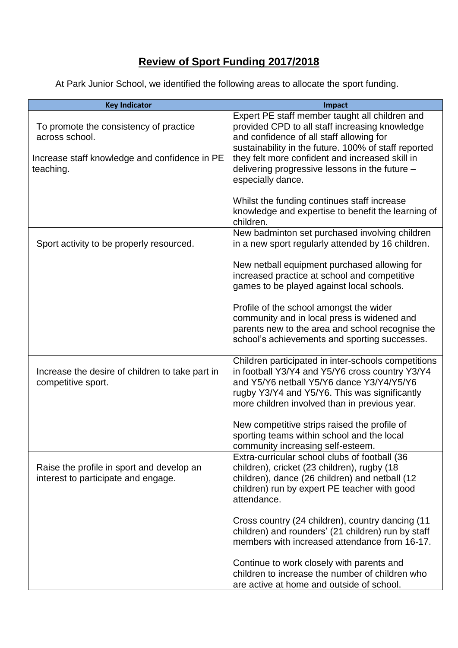## **Review of Sport Funding 2017/2018**

At Park Junior School, we identified the following areas to allocate the sport funding.

| <b>Key Indicator</b>                                                             | Impact                                                                                                                                                                                                                                                |
|----------------------------------------------------------------------------------|-------------------------------------------------------------------------------------------------------------------------------------------------------------------------------------------------------------------------------------------------------|
| To promote the consistency of practice                                           | Expert PE staff member taught all children and<br>provided CPD to all staff increasing knowledge                                                                                                                                                      |
| across school.                                                                   | and confidence of all staff allowing for<br>sustainability in the future. 100% of staff reported                                                                                                                                                      |
| Increase staff knowledge and confidence in PE<br>teaching.                       | they felt more confident and increased skill in<br>delivering progressive lessons in the future -<br>especially dance.                                                                                                                                |
|                                                                                  | Whilst the funding continues staff increase<br>knowledge and expertise to benefit the learning of<br>children.                                                                                                                                        |
| Sport activity to be properly resourced.                                         | New badminton set purchased involving children<br>in a new sport regularly attended by 16 children.                                                                                                                                                   |
|                                                                                  | New netball equipment purchased allowing for<br>increased practice at school and competitive<br>games to be played against local schools.                                                                                                             |
|                                                                                  | Profile of the school amongst the wider<br>community and in local press is widened and<br>parents new to the area and school recognise the<br>school's achievements and sporting successes.                                                           |
| Increase the desire of children to take part in<br>competitive sport.            | Children participated in inter-schools competitions<br>in football Y3/Y4 and Y5/Y6 cross country Y3/Y4<br>and Y5/Y6 netball Y5/Y6 dance Y3/Y4/Y5/Y6<br>rugby Y3/Y4 and Y5/Y6. This was significantly<br>more children involved than in previous year. |
|                                                                                  | New competitive strips raised the profile of<br>sporting teams within school and the local<br>community increasing self-esteem.                                                                                                                       |
| Raise the profile in sport and develop an<br>interest to participate and engage. | Extra-curricular school clubs of football (36<br>children), cricket (23 children), rugby (18<br>children), dance (26 children) and netball (12<br>children) run by expert PE teacher with good<br>attendance.                                         |
|                                                                                  | Cross country (24 children), country dancing (11<br>children) and rounders' (21 children) run by staff<br>members with increased attendance from 16-17.                                                                                               |
|                                                                                  | Continue to work closely with parents and<br>children to increase the number of children who<br>are active at home and outside of school.                                                                                                             |